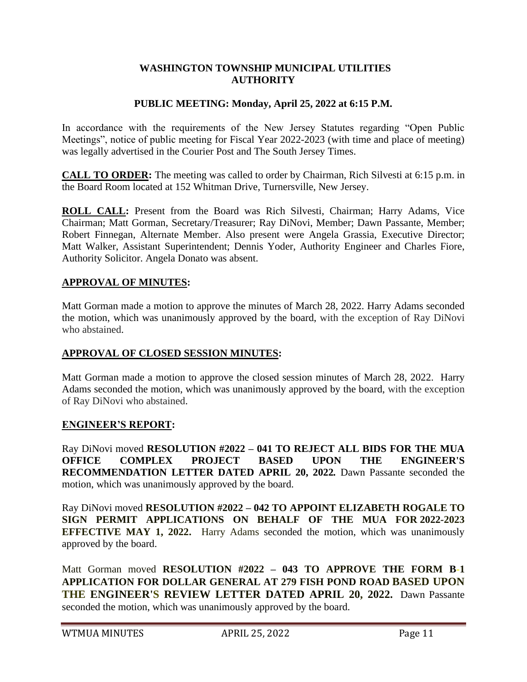## **WASHINGTON TOWNSHIP MUNICIPAL UTILITIES AUTHORITY**

# **PUBLIC MEETING: Monday, April 25, 2022 at 6:15 P.M.**

In accordance with the requirements of the New Jersey Statutes regarding "Open Public Meetings", notice of public meeting for Fiscal Year 2022-2023 (with time and place of meeting) was legally advertised in the Courier Post and The South Jersey Times.

**CALL TO ORDER:** The meeting was called to order by Chairman, Rich Silvesti at 6:15 p.m. in the Board Room located at 152 Whitman Drive, Turnersville, New Jersey.

**ROLL CALL:** Present from the Board was Rich Silvesti, Chairman; Harry Adams, Vice Chairman; Matt Gorman, Secretary/Treasurer; Ray DiNovi, Member; Dawn Passante, Member; Robert Finnegan, Alternate Member. Also present were Angela Grassia, Executive Director; Matt Walker, Assistant Superintendent; Dennis Yoder, Authority Engineer and Charles Fiore, Authority Solicitor. Angela Donato was absent.

#### **APPROVAL OF MINUTES:**

Matt Gorman made a motion to approve the minutes of March 28, 2022. Harry Adams seconded the motion, which was unanimously approved by the board, with the exception of Ray DiNovi who abstained.

#### **APPROVAL OF CLOSED SESSION MINUTES:**

Matt Gorman made a motion to approve the closed session minutes of March 28, 2022. Harry Adams seconded the motion, which was unanimously approved by the board, with the exception of Ray DiNovi who abstained.

#### **ENGINEER'S REPORT:**

Ray DiNovi moved **RESOLUTION #2022 – 041 TO REJECT ALL BIDS FOR THE MUA OFFICE COMPLEX PROJECT BASED UPON THE ENGINEER'S RECOMMENDATION LETTER DATED APRIL 20, 2022***.* Dawn Passante seconded the motion, which was unanimously approved by the board.

Ray DiNovi moved **RESOLUTION #2022 – 042 TO APPOINT ELIZABETH ROGALE TO SIGN PERMIT APPLICATIONS ON BEHALF OF THE MUA FOR 2022***-***2023 EFFECTIVE MAY 1, 2022.** Harry Adams seconded the motion, which was unanimously approved by the board.

Matt Gorman moved **RESOLUTION #2022 – 043 TO APPROVE THE FORM B-1 APPLICATION FOR DOLLAR GENERAL AT 279 FISH POND ROAD BASED UPON THE ENGINEER'S REVIEW LETTER DATED APRIL 20, 2022.** Dawn Passante seconded the motion, which was unanimously approved by the board.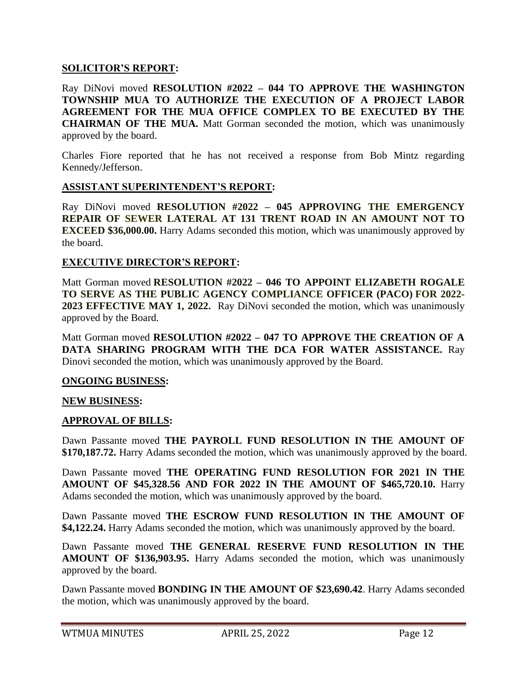## **SOLICITOR'S REPORT:**

Ray DiNovi moved **RESOLUTION #2022 – 044 TO APPROVE THE WASHINGTON TOWNSHIP MUA TO AUTHORIZE THE EXECUTION OF A PROJECT LABOR AGREEMENT FOR THE MUA OFFICE COMPLEX TO BE EXECUTED BY THE CHAIRMAN OF THE MUA.** Matt Gorman seconded the motion, which was unanimously approved by the board.

Charles Fiore reported that he has not received a response from Bob Mintz regarding Kennedy/Jefferson.

## **ASSISTANT SUPERINTENDENT'S REPORT:**

Ray DiNovi moved **RESOLUTION #2022 – 045 APPROVING THE EMERGENCY REPAIR OF SEWER LATERAL AT 131 TRENT ROAD IN AN AMOUNT NOT TO EXCEED \$36,000.00.** Harry Adams seconded this motion, which was unanimously approved by the board.

## **EXECUTIVE DIRECTOR'S REPORT:**

Matt Gorman moved **RESOLUTION #2022 – 046 TO APPOINT ELIZABETH ROGALE TO SERVE AS THE PUBLIC AGENCY COMPLIANCE OFFICER (PACO) FOR 2022- 2023 EFFECTIVE MAY 1, 2022.** Ray DiNovi seconded the motion, which was unanimously approved by the Board.

Matt Gorman moved **RESOLUTION #2022 – 047 TO APPROVE THE CREATION OF A DATA SHARING PROGRAM WITH THE DCA FOR WATER ASSISTANCE.** Ray Dinovi seconded the motion, which was unanimously approved by the Board.

#### **ONGOING BUSINESS:**

#### **NEW BUSINESS:**

# **APPROVAL OF BILLS:**

Dawn Passante moved **THE PAYROLL FUND RESOLUTION IN THE AMOUNT OF \$170,187.72.** Harry Adams seconded the motion, which was unanimously approved by the board.

Dawn Passante moved **THE OPERATING FUND RESOLUTION FOR 2021 IN THE AMOUNT OF \$45,328.56 AND FOR 2022 IN THE AMOUNT OF \$465,720.10.** Harry Adams seconded the motion, which was unanimously approved by the board.

Dawn Passante moved **THE ESCROW FUND RESOLUTION IN THE AMOUNT OF \$4,122.24.** Harry Adams seconded the motion, which was unanimously approved by the board.

Dawn Passante moved **THE GENERAL RESERVE FUND RESOLUTION IN THE AMOUNT OF \$136,903.95.** Harry Adams seconded the motion, which was unanimously approved by the board.

Dawn Passante moved **BONDING IN THE AMOUNT OF \$23,690.42**. Harry Adams seconded the motion, which was unanimously approved by the board.